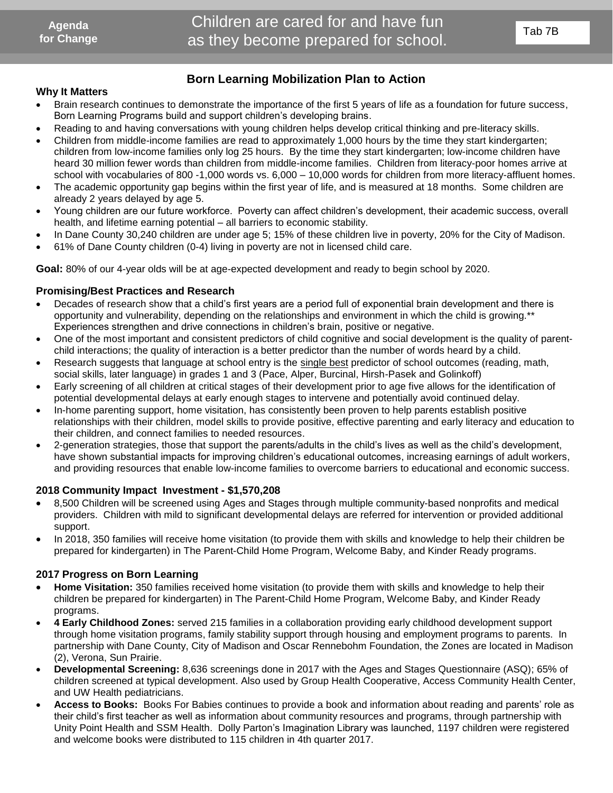## **Born Learning Mobilization Plan to Action**

#### **Why It Matters**

- Brain research continues to demonstrate the importance of the first 5 years of life as a foundation for future success, Born Learning Programs build and support children's developing brains.
- Reading to and having conversations with young children helps develop critical thinking and pre-literacy skills.
- Children from middle-income families are read to approximately 1,000 hours by the time they start kindergarten; children from low-income families only log 25 hours. By the time they start kindergarten; low-income children have heard 30 million fewer words than children from middle-income families. Children from literacy-poor homes arrive at school with vocabularies of 800 -1,000 words vs. 6,000 – 10,000 words for children from more literacy-affluent homes. th continues to demonstrate the importance of the<br>g Programs build and support children's developind<br>having conversations with young children help<br>inddle-income families are read to approximate<br>low-income families only log
- The academic opportunity gap begins within the first year of life, and is measured at 18 months. Some children are already 2 years delayed by age 5.
- Young children are our future workforce. Poverty can affect children's development, their academic success, overall health, and lifetime earning potential – all barriers to economic stability.
- In Dane County 30,240 children are under age 5; 15% of these children live in poverty, 20% for the City of Madison.
- 61% of Dane County children (0-4) living in poverty are not in licensed child care.

**Goal:** 80% of our 4-year olds will be at age-expected development and ready to begin school by 2020.

### **Promising/Best Practices and Research**

- Decades of research show that a child's first years are a period full of exponential brain development and there is opportunity and vulnerability, depending on the relationships and environment in which the child is growing.\*\* Experiences strengthen and drive connections in children's brain, positive or negative.
- One of the most important and consistent predictors of child cognitive and social development is the quality of parentchild interactions; the quality of interaction is a better predictor than the number of words heard by a child.
- Research suggests that language at school entry is the single best predictor of school outcomes (reading, math, social skills, later language) in grades 1 and 3 (Pace, Alper, Burcinal, Hirsh-Pasek and Golinkoff)
- Early screening of all children at critical stages of their development prior to age five allows for the identification of potential developmental delays at early enough stages to intervene and potentially avoid continued delay.
- In-home parenting support, home visitation, has consistently been proven to help parents establish positive relationships with their children, model skills to provide positive, effective parenting and early literacy and education to their children, and connect families to needed resources.
- 2-generation strategies, those that support the parents/adults in the child's lives as well as the child's development, have shown substantial impacts for improving children's educational outcomes, increasing earnings of adult workers, and providing resources that enable low-income families to overcome barriers to educational and economic success.

#### **2018 Community Impact Investment - \$1,570,208**

- 8,500 Children will be screened using Ages and Stages through multiple community-based nonprofits and medical providers. Children with mild to significant developmental delays are referred for intervention or provided additional support.
- In 2018, 350 families will receive home visitation (to provide them with skills and knowledge to help their children be prepared for kindergarten) in The Parent-Child Home Program, Welcome Baby, and Kinder Ready programs.

#### **2017 Progress on Born Learning**

- **Home Visitation:** 350 families received home visitation (to provide them with skills and knowledge to help their children be prepared for kindergarten) in The Parent-Child Home Program, Welcome Baby, and Kinder Ready programs.
- **4 Early Childhood Zones:** served 215 families in a collaboration providing early childhood development support through home visitation programs, family stability support through housing and employment programs to parents. In partnership with Dane County, City of Madison and Oscar Rennebohm Foundation, the Zones are located in Madison (2), Verona, Sun Prairie.
- **Developmental Screening:** 8,636 screenings done in 2017 with the Ages and Stages Questionnaire (ASQ); 65% of children screened at typical development. Also used by Group Health Cooperative, Access Community Health Center, and UW Health pediatricians.
- **Access to Books:** Books For Babies continues to provide a book and information about reading and parents' role as their child's first teacher as well as information about community resources and programs, through partnership with Unity Point Health and SSM Health. Dolly Parton's Imagination Library was launched, 1197 children were registered and welcome books were distributed to 115 children in 4th quarter 2017.